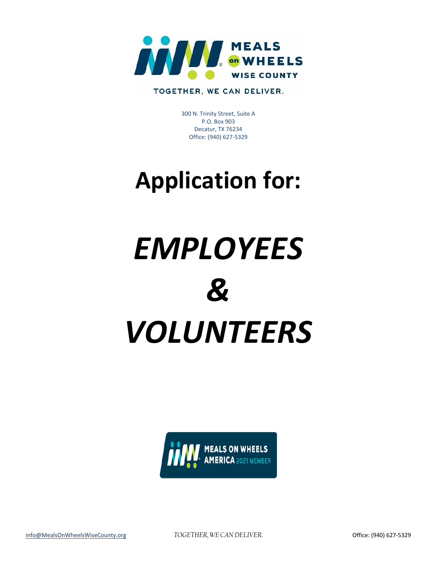

TOGETHER, WE CAN DELIVER.

300 N. Trinity Street, Suite A P.O. Box 903 Decatur, TX 76234 Office: (940) 627-5329

# **Application for:**

# *EMPLOYEES & VOLUNTEERS*

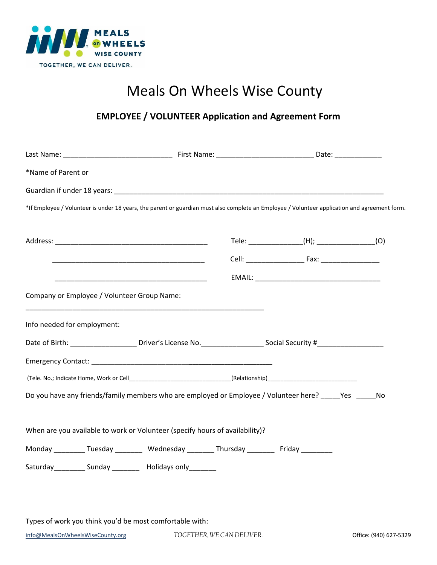

# Meals On Wheels Wise County

#### **EMPLOYEE / VOLUNTEER Application and Agreement Form**

| *Name of Parent or                                                                                                                            |                                                |  |
|-----------------------------------------------------------------------------------------------------------------------------------------------|------------------------------------------------|--|
|                                                                                                                                               |                                                |  |
| *If Employee / Volunteer is under 18 years, the parent or guardian must also complete an Employee / Volunteer application and agreement form. |                                                |  |
|                                                                                                                                               |                                                |  |
|                                                                                                                                               | Tele: ________________(H); ________________(O) |  |
|                                                                                                                                               |                                                |  |
|                                                                                                                                               |                                                |  |
| Company or Employee / Volunteer Group Name:                                                                                                   |                                                |  |
| Info needed for employment:                                                                                                                   |                                                |  |
| Date of Birth: ___________________________Driver's License No. _____________________Social Security #__________________________________       |                                                |  |
|                                                                                                                                               |                                                |  |
| (Tele. No.; Indicate Home, Work or Cell________________________________(Relationship)_______________________________                          |                                                |  |
| Do you have any friends/family members who are employed or Employee / Volunteer here? _____ Yes _____ No                                      |                                                |  |
|                                                                                                                                               |                                                |  |
| When are you available to work or Volunteer (specify hours of availability)?                                                                  |                                                |  |
| Monday __________Tuesday __________ Wednesday _________ Thursday __________ Friday _________                                                  |                                                |  |
| Saturday____________ Sunday ____________ Holidays only_________                                                                               |                                                |  |

Types of work you think you'd be most comfortable with: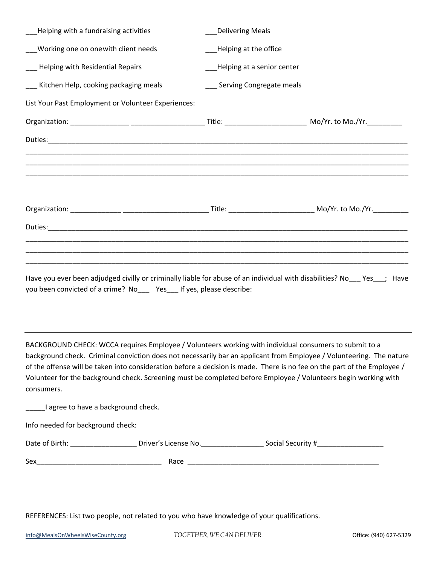| Helping with a fundraising activities                                                                                                                                                            | Delivering Meals            |  |
|--------------------------------------------------------------------------------------------------------------------------------------------------------------------------------------------------|-----------------------------|--|
| Working one on onewith client needs                                                                                                                                                              | __Helping at the office     |  |
| __ Helping with Residential Repairs                                                                                                                                                              | Helping at a senior center  |  |
| Kitchen Help, cooking packaging meals                                                                                                                                                            | __ Serving Congregate meals |  |
| List Your Past Employment or Volunteer Experiences:                                                                                                                                              |                             |  |
|                                                                                                                                                                                                  |                             |  |
|                                                                                                                                                                                                  |                             |  |
| ,我们也不能在这里的,我们也不能在这里的,我们也不能不能不能不能不能不能不能不能不能不能不能不能。""我们的,我们也不能不能不能不能不能不能不能不能不能不能不能                                                                                                                 |                             |  |
|                                                                                                                                                                                                  |                             |  |
|                                                                                                                                                                                                  |                             |  |
|                                                                                                                                                                                                  |                             |  |
|                                                                                                                                                                                                  |                             |  |
|                                                                                                                                                                                                  |                             |  |
|                                                                                                                                                                                                  |                             |  |
| Have you ever been adjudged civilly or criminally liable for abuse of an individual with disabilities? No___Yes___; Have<br>you been convicted of a crime? No___ Yes___ If yes, please describe: |                             |  |
|                                                                                                                                                                                                  |                             |  |

BACKGROUND CHECK: WCCA requires Employee / Volunteers working with individual consumers to submit to a background check. Criminal conviction does not necessarily bar an applicant from Employee / Volunteering. The nature of the offense will be taken into consideration before a decision is made. There is no fee on the part of the Employee / Volunteer for the background check. Screening must be completed before Employee / Volunteers begin working with consumers.

| I agree to have a background check. |                      |                   |
|-------------------------------------|----------------------|-------------------|
| Info needed for background check:   |                      |                   |
| Date of Birth:                      | Driver's License No. | Social Security # |
| Sex                                 | Race                 |                   |

REFERENCES: List two people, not related to you who have knowledge of your qualifications.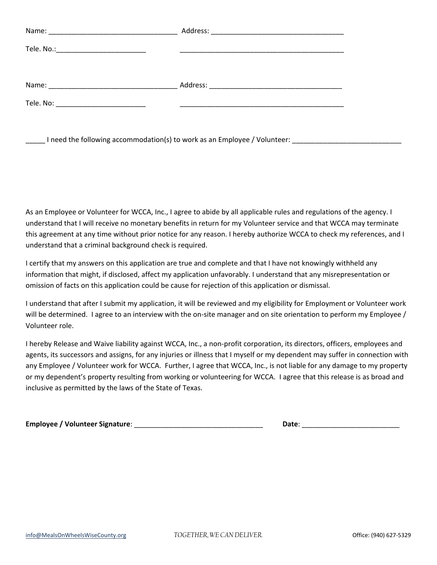| Name:                                     |  |
|-------------------------------------------|--|
| Tele. No.:_______________________________ |  |
|                                           |  |
| Name: Name:                               |  |
|                                           |  |
|                                           |  |

\_\_\_\_\_ I need the following accommodation(s) to work as an Employee / Volunteer: \_\_\_\_\_\_\_\_\_\_\_\_\_\_\_\_\_\_\_\_\_\_\_\_\_\_\_\_

As an Employee or Volunteer for WCCA, Inc., I agree to abide by all applicable rules and regulations of the agency. I understand that I will receive no monetary benefits in return for my Volunteer service and that WCCA may terminate this agreement at any time without prior notice for any reason. I hereby authorize WCCA to check my references, and I understand that a criminal background check is required.

I certify that my answers on this application are true and complete and that I have not knowingly withheld any information that might, if disclosed, affect my application unfavorably. I understand that any misrepresentation or omission of facts on this application could be cause for rejection of this application or dismissal.

I understand that after I submit my application, it will be reviewed and my eligibility for Employment or Volunteer work will be determined. I agree to an interview with the on-site manager and on site orientation to perform my Employee / Volunteer role.

I hereby Release and Waive liability against WCCA, Inc., a non-profit corporation, its directors, officers, employees and agents, its successors and assigns, for any injuries or illness that I myself or my dependent may suffer in connection with any Employee / Volunteer work for WCCA. Further, I agree that WCCA, Inc., is not liable for any damage to my property or my dependent's property resulting from working or volunteering for WCCA. I agree that this release is as broad and inclusive as permitted by the laws of the State of Texas.

| <b>Employee / Volunteer Signature:</b> |  |
|----------------------------------------|--|
|----------------------------------------|--|

| <b>Employee / Volunteer Signature:</b> | Date |
|----------------------------------------|------|
|----------------------------------------|------|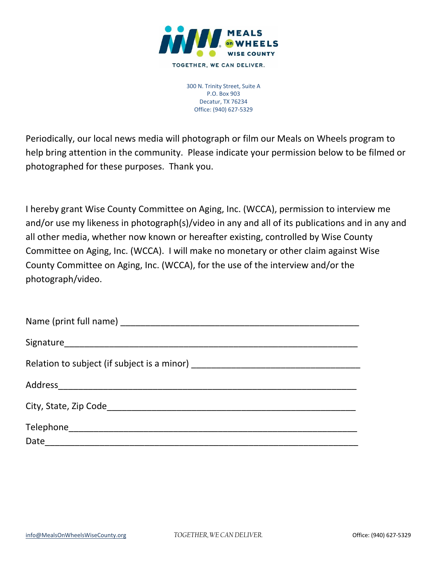

Office: (940) 627-5329 300 N. Trinity Street, Suite A P.O. Box 903 Decatur, TX 76234

Periodically, our local news media will photograph or film our Meals on Wheels program to help bring attention in the community. Please indicate your permission below to be filmed or photographed for these purposes. Thank you.

I hereby grant Wise County Committee on Aging, Inc. (WCCA), permission to interview me and/or use my likeness in photograph(s)/video in any and all of its publications and in any and all other media, whether now known or hereafter existing, controlled by Wise County Committee on Aging, Inc. (WCCA). I will make no monetary or other claim against Wise County Committee on Aging, Inc. (WCCA), for the use of the interview and/or the photograph/video.

| Date_________________ |
|-----------------------|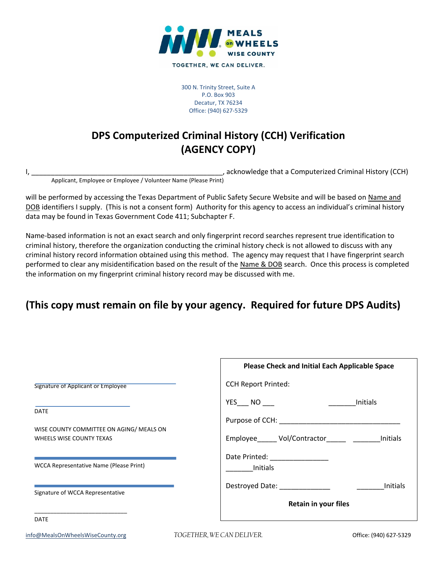

300 N. Trinity Street, Suite A P.O. Box 903 Decatur, TX 76234 Office: (940) 627-5329

## **DPS Computerized Criminal History (CCH) Verification (AGENCY COPY)**

I, \_\_\_\_\_\_\_\_\_\_\_\_\_\_\_\_\_\_\_\_\_\_\_\_\_\_\_\_\_\_\_\_\_\_\_\_\_\_\_\_\_\_\_\_\_\_\_\_\_, acknowledge that a Computerized Criminal History (CCH)

Applicant, Employee or Employee / Volunteer Name (Please Print)

will be performed by accessing the Texas Department of Public Safety Secure Website and will be based on Name and DOB identifiers I supply. (This is not a consent form) Authority for this agency to access an individual's criminal history data may be found in Texas Government Code 411; Subchapter F.

Name-based information is not an exact search and only fingerprint record searches represent true identification to criminal history, therefore the organization conducting the criminal history check is not allowed to discuss with any criminal history record information obtained using this method. The agency may request that I have fingerprint search performed to clear any misidentification based on the result of the Name & DOB search. Once this process is completed the information on my fingerprint criminal history record may be discussed with me.

#### **(This copy must remain on file by your agency. Required for future DPS Audits)**

|                                                                     | <b>Please Check and Initial Each Applicable Space</b>   |
|---------------------------------------------------------------------|---------------------------------------------------------|
| Signature of Applicant or Employee                                  | <b>CCH Report Printed:</b>                              |
|                                                                     | $YES$ NO ____<br><b>Initials</b>                        |
| <b>DATE</b>                                                         |                                                         |
| WISE COUNTY COMMITTEE ON AGING/MEALS ON<br>WHEELS WISE COUNTY TEXAS | Employee_______ Vol/Contractor_______ _________Initials |
|                                                                     |                                                         |
| <b>WCCA Representative Name (Please Print)</b>                      | Date Printed: _______________<br><b>Initials</b>        |
|                                                                     | Destroyed Date: _____________<br>Initials               |
| Signature of WCCA Representative                                    | <b>Retain in your files</b>                             |
| <b>DATE</b>                                                         |                                                         |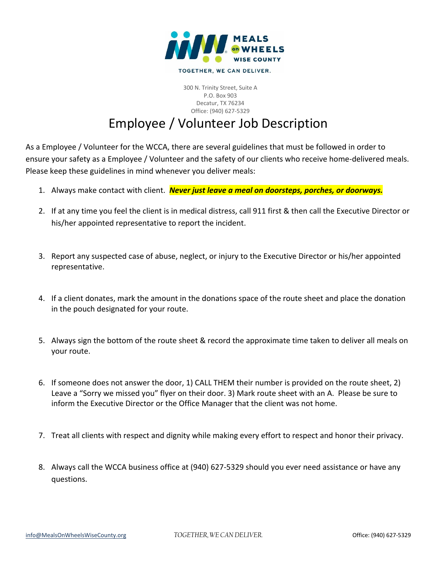

300 N. Trinity Street, Suite A P.O. Box 903 Decatur, TX 76234 Office: (940) 627-5329

# Employee / Volunteer Job Description

As a Employee / Volunteer for the WCCA, there are several guidelines that must be followed in order to ensure your safety as a Employee / Volunteer and the safety of our clients who receive home-delivered meals. Please keep these guidelines in mind whenever you deliver meals:

- 1. Always make contact with client. *Never just leave a meal on doorsteps, porches, or doorways.*
- 2. If at any time you feel the client is in medical distress, call 911 first & then call the Executive Director or his/her appointed representative to report the incident.
- 3. Report any suspected case of abuse, neglect, or injury to the Executive Director or his/her appointed representative.
- 4. If a client donates, mark the amount in the donations space of the route sheet and place the donation in the pouch designated for your route.
- 5. Always sign the bottom of the route sheet & record the approximate time taken to deliver all meals on your route.
- 6. If someone does not answer the door, 1) CALL THEM their number is provided on the route sheet, 2) Leave a "Sorry we missed you" flyer on their door. 3) Mark route sheet with an A. Please be sure to inform the Executive Director or the Office Manager that the client was not home.
- 7. Treat all clients with respect and dignity while making every effort to respect and honor their privacy.
- 8. Always call the WCCA business office at (940) 627-5329 should you ever need assistance or have any questions.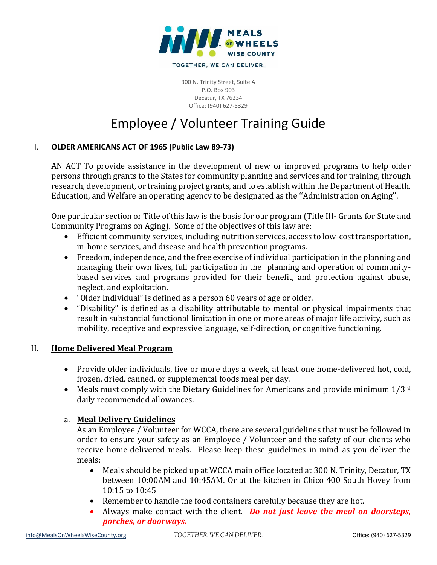

300 N. Trinity Street, 300 N. Trinity Street, Suite A P.O. Box 903 Decatur, TX 76234 Office: (940) 627-5329

# Employee / Volunteer Training Guide

#### I. **OLDER AMERICANS ACT OF 1965 (Public Law 89-73)**

AN ACT To provide assistance in the development of new or improved programs to help older persons through grants to the States for community planning and services and for training, through research, development, or training project grants, and to establish within the Department of Health, Education, and Welfare an operating agency to be designated as the ''Administration on Aging''.

One particular section or Title of this law is the basis for our program (Title III- Grants for State and Community Programs on Aging). Some of the objectives of this law are:

- Efficient community services, including nutrition services, access to low-cost transportation, in-home services, and disease and health prevention programs.
- Freedom, independence, and the free exercise of individual participation in the planning and managing their own lives, full participation in the planning and operation of communitybased services and programs provided for their benefit, and protection against abuse, neglect, and exploitation.
- "Older Individual" is defined as a person 60 years of age or older.
- "Disability" is defined as a disability attributable to mental or physical impairments that result in substantial functional limitation in one or more areas of major life activity, such as mobility, receptive and expressive language, self-direction, or cognitive functioning.

#### II. **Home Delivered Meal Program**

- Provide older individuals, five or more days a week, at least one home-delivered hot, cold, frozen, dried, canned, or supplemental foods meal per day.
- Meals must comply with the Dietary Guidelines for Americans and provide minimum  $1/3^{rd}$ daily recommended allowances.

#### a. **Meal Delivery Guidelines**

As an Employee / Volunteer for WCCA, there are several guidelines that must be followed in order to ensure your safety as an Employee / Volunteer and the safety of our clients who receive home-delivered meals. Please keep these guidelines in mind as you deliver the meals:

- Meals should be picked up at WCCA main office located at 300 N. Trinity, Decatur, TX between 10:00AM and 10:45AM. Or at the kitchen in Chico 400 South Hovey from 10:15 to 10:45
- Remember to handle the food containers carefully because they are hot.
- Always make contact with the client. *Do not just leave the meal on doorsteps, porches, or doorways.*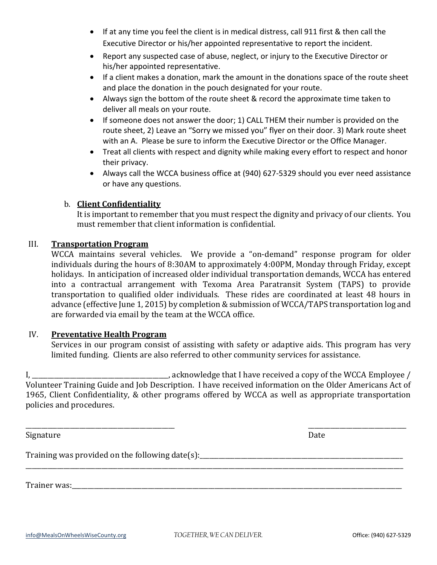- If at any time you feel the client is in medical distress, call 911 first & then call the Executive Director or his/her appointed representative to report the incident.
- Report any suspected case of abuse, neglect, or injury to the Executive Director or his/her appointed representative.
- If a client makes a donation, mark the amount in the donations space of the route sheet and place the donation in the pouch designated for your route.
- Always sign the bottom of the route sheet & record the approximate time taken to deliver all meals on your route.
- If someone does not answer the door; 1) CALL THEM their number is provided on the route sheet, 2) Leave an "Sorry we missed you" flyer on their door. 3) Mark route sheet with an A. Please be sure to inform the Executive Director or the Office Manager.
- Treat all clients with respect and dignity while making every effort to respect and honor their privacy.
- Always call the WCCA business office at (940) 627-5329 should you ever need assistance or have any questions.

#### b. **Client Confidentiality**

It is important to remember that you must respect the dignity and privacy of our clients. You must remember that client information is confidential.

#### III. **Transportation Program**

WCCA maintains several vehicles. We provide a "on-demand" response program for older individuals during the hours of 8:30AM to approximately 4:00PM, Monday through Friday, except holidays. In anticipation of increased older individual transportation demands, WCCA has entered into a contractual arrangement with Texoma Area Paratransit System (TAPS) to provide transportation to qualified older individuals. These rides are coordinated at least 48 hours in advance (effective June 1, 2015) by completion & submission of WCCA/TAPS transportation log and are forwarded via email by the team at the WCCA office.

#### IV. **Preventative Health Program**

Services in our program consist of assisting with safety or adaptive aids. This program has very limited funding. Clients are also referred to other community services for assistance.

I, \_\_\_\_\_\_\_\_\_\_\_\_\_\_\_\_\_\_\_\_\_\_\_\_\_\_\_\_\_\_\_\_\_\_\_\_\_\_\_\_\_\_\_, acknowledge that I have received a copy of the WCCA Employee / Volunteer Training Guide and Job Description. I have received information on the Older Americans Act of 1965, Client Confidentiality, & other programs offered by WCCA as well as appropriate transportation policies and procedures.

\_\_\_\_\_\_\_\_\_\_\_\_\_\_\_\_\_\_\_\_\_\_\_\_\_\_\_\_\_\_\_\_\_\_\_\_\_\_\_\_\_\_\_\_\_\_\_ \_\_\_\_\_\_\_\_\_\_\_\_\_\_\_\_\_\_\_\_\_\_\_\_\_\_\_\_\_\_\_

\_\_\_\_\_\_\_\_\_\_\_\_\_\_\_\_\_\_\_\_\_\_\_\_\_\_\_\_\_\_\_\_\_\_\_\_\_\_\_\_\_\_\_\_\_\_\_\_\_\_\_\_\_\_\_\_\_\_\_\_\_\_\_\_\_\_\_\_\_\_\_\_\_\_\_\_\_\_\_\_\_\_\_\_\_\_\_\_\_\_\_\_\_\_\_\_\_\_\_\_\_\_\_\_\_\_\_\_\_\_\_\_\_\_\_\_\_\_\_

Signature Date

Training was provided on the following date(s):\_\_\_\_\_\_\_\_\_\_\_\_\_\_\_\_\_\_\_\_\_\_\_\_\_\_\_\_\_\_\_\_\_\_\_\_\_\_\_\_\_\_\_\_\_\_\_\_\_\_\_\_\_\_\_\_\_\_\_\_\_\_\_\_

Trainer was: